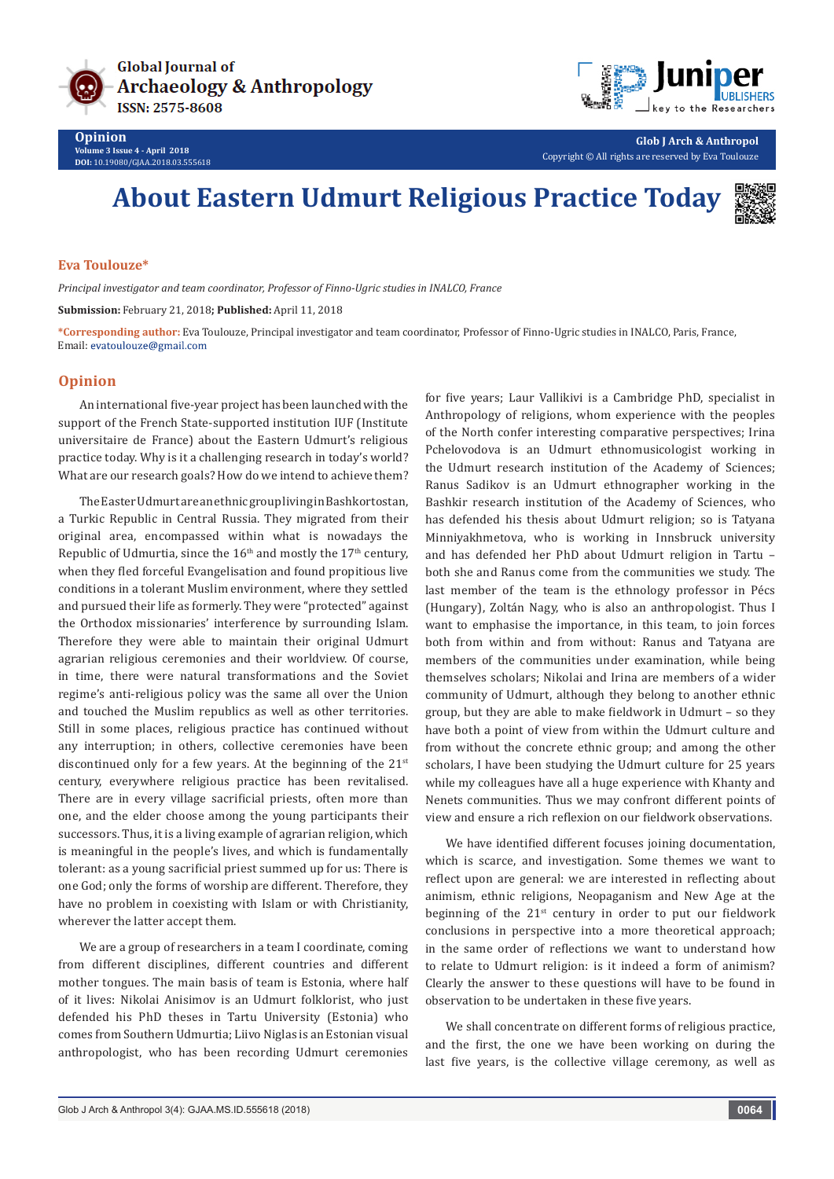



**Glob J Arch & Anthropol** Copyright © All rights are reserved by Eva Toulouze

## **About Eastern Udmurt Religious Practice Today**



## **Eva Toulouze\***

*Principal investigator and team coordinator, Professor of Finno-Ugric studies in INALCO, France*

**Submission:** February 21, 2018**; Published:** April 11, 2018

**\*Corresponding author:** Eva Toulouze, Principal investigator and team coordinator, Professor of Finno-Ugric studies in INALCO, Paris, France, Email: evatoulouze@gmail.com

## **Opinion**

An international five-year project has been launched with the support of the French State-supported institution IUF (Institute universitaire de France) about the Eastern Udmurt's religious practice today. Why is it a challenging research in today's world? What are our research goals? How do we intend to achieve them?

The Easter Udmurt are an ethnic group living in Bashkortostan, a Turkic Republic in Central Russia. They migrated from their original area, encompassed within what is nowadays the Republic of Udmurtia, since the  $16<sup>th</sup>$  and mostly the  $17<sup>th</sup>$  century, when they fled forceful Evangelisation and found propitious live conditions in a tolerant Muslim environment, where they settled and pursued their life as formerly. They were "protected" against the Orthodox missionaries' interference by surrounding Islam. Therefore they were able to maintain their original Udmurt agrarian religious ceremonies and their worldview. Of course, in time, there were natural transformations and the Soviet regime's anti-religious policy was the same all over the Union and touched the Muslim republics as well as other territories. Still in some places, religious practice has continued without any interruption; in others, collective ceremonies have been discontinued only for a few years. At the beginning of the  $21^{st}$ century, everywhere religious practice has been revitalised. There are in every village sacrificial priests, often more than one, and the elder choose among the young participants their successors. Thus, it is a living example of agrarian religion, which is meaningful in the people's lives, and which is fundamentally tolerant: as a young sacrificial priest summed up for us: There is one God; only the forms of worship are different. Therefore, they have no problem in coexisting with Islam or with Christianity, wherever the latter accept them.

We are a group of researchers in a team I coordinate, coming from different disciplines, different countries and different mother tongues. The main basis of team is Estonia, where half of it lives: Nikolai Anisimov is an Udmurt folklorist, who just defended his PhD theses in Tartu University (Estonia) who comes from Southern Udmurtia; Liivo Niglas is an Estonian visual anthropologist, who has been recording Udmurt ceremonies

for five years; Laur Vallikivi is a Cambridge PhD, specialist in Anthropology of religions, whom experience with the peoples of the North confer interesting comparative perspectives; Irina Pchelovodova is an Udmurt ethnomusicologist working in the Udmurt research institution of the Academy of Sciences; Ranus Sadikov is an Udmurt ethnographer working in the Bashkir research institution of the Academy of Sciences, who has defended his thesis about Udmurt religion; so is Tatyana Minniyakhmetova, who is working in Innsbruck university and has defended her PhD about Udmurt religion in Tartu – both she and Ranus come from the communities we study. The last member of the team is the ethnology professor in Pécs (Hungary), Zoltán Nagy, who is also an anthropologist. Thus I want to emphasise the importance, in this team, to join forces both from within and from without: Ranus and Tatyana are members of the communities under examination, while being themselves scholars; Nikolai and Irina are members of a wider community of Udmurt, although they belong to another ethnic group, but they are able to make fieldwork in Udmurt – so they have both a point of view from within the Udmurt culture and from without the concrete ethnic group; and among the other scholars, I have been studying the Udmurt culture for 25 years while my colleagues have all a huge experience with Khanty and Nenets communities. Thus we may confront different points of view and ensure a rich reflexion on our fieldwork observations.

We have identified different focuses joining documentation, which is scarce, and investigation. Some themes we want to reflect upon are general: we are interested in reflecting about animism, ethnic religions, Neopaganism and New Age at the beginning of the 21<sup>st</sup> century in order to put our fieldwork conclusions in perspective into a more theoretical approach; in the same order of reflections we want to understand how to relate to Udmurt religion: is it indeed a form of animism? Clearly the answer to these questions will have to be found in observation to be undertaken in these five years.

We shall concentrate on different forms of religious practice, and the first, the one we have been working on during the last five years, is the collective village ceremony, as well as